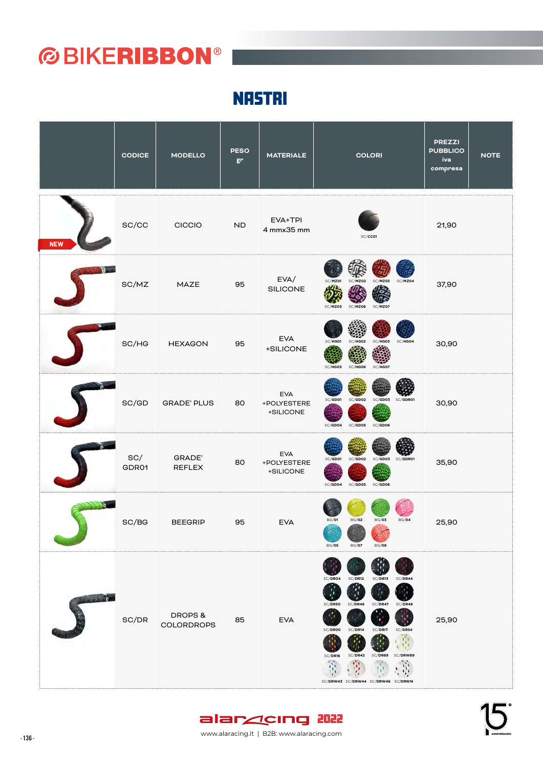**NASTRI** 

|                | <b>CODICE</b> | <b>MODELLO</b>              | <b>PESO</b><br>gr | <b>MATERIALE</b>                       | <b>COLORI</b>                                                                                                                                                                                                               | <b>PREZZI</b><br><b>PUBBLICO</b><br>iva<br>compresa | <b>NOTE</b> |
|----------------|---------------|-----------------------------|-------------------|----------------------------------------|-----------------------------------------------------------------------------------------------------------------------------------------------------------------------------------------------------------------------------|-----------------------------------------------------|-------------|
| <b>NEW</b>     | SC/CC         | CICCIO                      | ND                | EVA+TPI<br>4 mmx35 mm                  | SC/CCO1                                                                                                                                                                                                                     | 21,90                                               |             |
|                | SC/MZ         | MAZE                        | 95                | EVA/<br>SILICONE                       | SC/MZ01<br>SC/MZ04<br><b>SC/MZ02</b><br>SC/MZ03<br>SC/MZ05<br>SC/MZ06 SC/MZ07                                                                                                                                               | 37,90                                               |             |
|                | SC/HG         | <b>HEXAGON</b>              | 95                | <b>EVA</b><br>+SILICONE                | $SC/H$ G01<br>SC/HGO3<br>SC/HG04<br>SC/HGO2<br>SC/HG07<br>SC/HG05<br>SC/HG06                                                                                                                                                | 30,90                                               |             |
|                | SC/GD         | <b>GRADE' PLUS</b>          | 80                | <b>EVA</b><br>+POLYESTERE<br>+SILICONE | SC/GD02<br>SC/GDO1<br>SC/GD03 SC/GDR01<br>SC/GD04<br>SC/GD05 SC/GD06                                                                                                                                                        | 30,90                                               |             |
|                | SC/<br>GDR01  | GRADE'<br>REFLEX            | 80                | <b>EVA</b><br>+POLYESTERE<br>+SILICONE | SC/GDO1<br>SC/GD02<br>SC/GD03<br>SC/GDR01<br>SC/GDO4<br>SC/GD05 SC/GD06                                                                                                                                                     | 35,90                                               |             |
|                | SC/BG         | <b>BEEGRIP</b>              | 95                | <b>EVA</b>                             | BG/O1<br>$\rm{BG}/02$<br>BG/O3<br>BG/04<br>BG/O5<br>BG/O7<br>BG/08                                                                                                                                                          | 25,90                                               |             |
| <b>CENTRAL</b> | SC/DR         | DROPS&<br><b>COLORDROPS</b> | 85                | <b>EVA</b>                             | SC/DR04<br>SC/DR12<br>SC/DR13<br>SC/DR44<br>٠.,<br>SC/DR50<br>SC/DR46<br>SC/DR47<br>SC/DR48<br>SC/DROO<br>SC/DR14<br>SC/DRIT<br>SC/DR54<br>SC/DR42<br>SC/DR16<br>SC/DR89<br>SC/DRW89<br>SC/DRW43 SC/DRW44 SC/DRW46 SC/DRW14 | 25,90                                               |             |



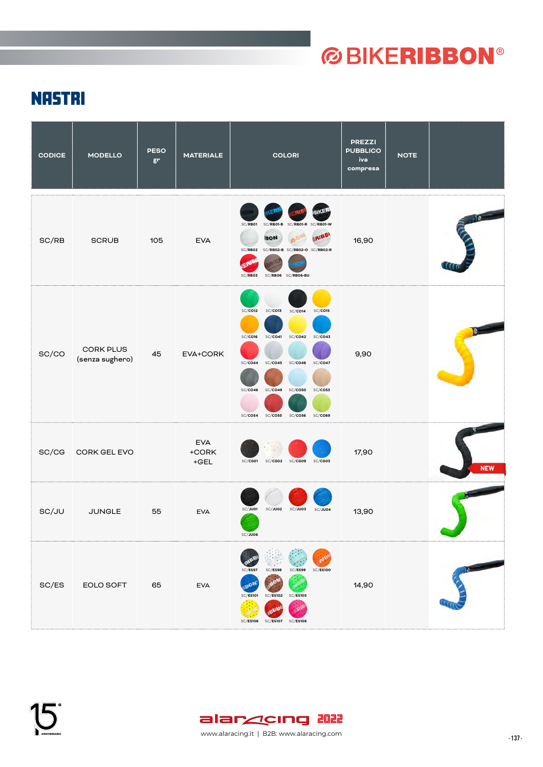### **NASTRI**

| <b>CODICE</b> | <b>MODELLO</b>                      | <b>PESO</b><br>gr | <b>MATERIALE</b>              | <b>COLORI</b>                                                                                                                                                                                                                                                         | <b>PREZZI</b><br><b>PUBBLICO</b><br>iva<br>compresa | <b>NOTE</b> |            |
|---------------|-------------------------------------|-------------------|-------------------------------|-----------------------------------------------------------------------------------------------------------------------------------------------------------------------------------------------------------------------------------------------------------------------|-----------------------------------------------------|-------------|------------|
| SC/RB         | <b>SCRUB</b>                        | 105               | <b>EVA</b>                    | SC/RB01<br>SC/RB01-B SC/RB01-R<br>SC/RB01-W<br>ERIBBI<br>BIKE<br><b>BON</b><br>SC/RB02 SC/RB02-B SC/RB02-O SC/RB02-R<br>SC/RB03<br>SC/RB06 SC/RB06-BU                                                                                                                 | 16,90                                               |             |            |
| SC/CO         | <b>CORK PLUS</b><br>(senza sughero) | 45                | EVA+CORK                      | SC/CO12<br>SC/CO13<br>SC/CO14<br>$SC$ $CO15$<br>SC/CO42<br>$SC$ $CO43$<br>SC/CO16<br>SC/CO41<br>SC/CO44<br>$SC$ $CO45$<br>SC/CO46<br>SC/CO47<br>SC/CO50<br><b>SC/CO53</b><br>SC/CO48<br>SC/CO49<br>$SC$ $CO$ 54<br><b>SC/CO55</b><br><b>SC/CO89</b><br><b>SC/CO56</b> | 9,90                                                |             |            |
| SC/CG         | CORK GEL EVO                        |                   | <b>EVA</b><br>+CORK<br>$+GEL$ | SC/CG01<br>SC/CG02<br>SC/CG09<br>SC/CG03                                                                                                                                                                                                                              | 17,90                                               |             | <b>NEW</b> |
| SC/JU         | <b>JUNGLE</b>                       | 55                | <b>EVA</b>                    | SC/JU01<br>SC/JU02<br>SC/JU03<br>SC/JU04<br>SC/JU06                                                                                                                                                                                                                   | 13,90                                               |             |            |
| SC/ES         | EOLO SOFT                           | 65                | <b>EVA</b>                    | SC/ES99<br>SC/ES98<br><b>SC/ES100</b><br>SC/ES97<br>ים.<br><b>SC/ES105</b><br>SC/ES101<br>SC/ES102<br>SC/ES106 SC/ES107 SC/ES108                                                                                                                                      | 14,90                                               |             |            |

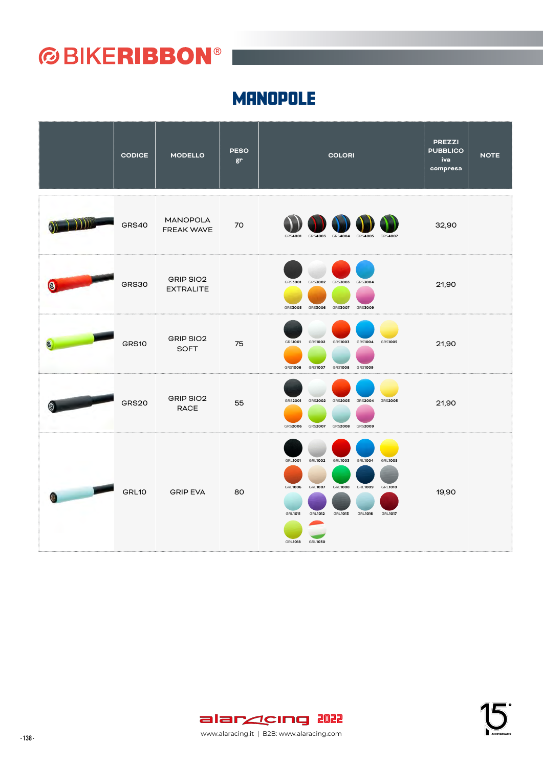#### **MANOPOLE**

|                                                                                                                                                                                                                                      | <b>CODICE</b> | <b>MODELLO</b>                | <b>PESO</b><br>gr | <b>COLORI</b>                                                                                                                                                                                                                                                                                                  | <b>PREZZI</b><br><b>PUBBLICO</b><br>iva<br>compresa | <b>NOTE</b> |
|--------------------------------------------------------------------------------------------------------------------------------------------------------------------------------------------------------------------------------------|---------------|-------------------------------|-------------------|----------------------------------------------------------------------------------------------------------------------------------------------------------------------------------------------------------------------------------------------------------------------------------------------------------------|-----------------------------------------------------|-------------|
| 1.111                                                                                                                                                                                                                                | GRS40         | MANOPOLA<br><b>FREAK WAVE</b> | 70                | <b>GRS4003</b><br><b>GRS4004</b><br>GRS4005 GRS4007<br>GRS4001                                                                                                                                                                                                                                                 | 32,90                                               |             |
|                                                                                                                                                                                                                                      | <b>GRS30</b>  | GRIP SIO2<br><b>EXTRALITE</b> |                   | <b>GRS3002</b><br><b>GRS3003</b><br><b>GRS3004</b><br><b>GRS3001</b><br><b>GRS3007</b><br>GRS3005 GRS3006<br><b>GRS3009</b>                                                                                                                                                                                    | 21,90                                               |             |
|                                                                                                                                                                                                                                      | GRS10         | GRIP SIO2<br><b>SOFT</b>      | 75                | <b>GRS1001</b><br><b>GRS1002</b><br><b>GRS1003</b><br><b>GRS1004</b><br><b>GRS1005</b><br>GRS1006 GRS1007 GRS1008 GRS1009                                                                                                                                                                                      | 21,90                                               |             |
|                                                                                                                                                                                                                                      | GRS20         | GRIP SIO2<br><b>RACE</b>      | 55                | GRS2001<br>GRS2002<br>GRS2003 GRS2004<br><b>GRS2005</b><br>GRS2006 GRS2007 GRS2008 GRS2009                                                                                                                                                                                                                     | 21,90                                               |             |
| <b>Contract Contract Contract Contract Contract Contract Contract Contract Contract Contract Contract Contract Contract Contract Contract Contract Contract Contract Contract Contract Contract Contract Contract Contract Contr</b> | GRL10         | <b>GRIP EVA</b><br>a sa sa    | 80                | <b>GRL1002</b><br><b>GRL1004</b><br><b>GRL1001</b><br><b>GRL1003</b><br><b>GRL1005</b><br><b>GRL1007</b><br><b>GRL1006</b><br><b>GRL1008</b><br><b>GRL1009</b><br><b>GRL1010</b><br><b>GRL1011</b><br><b>GRL1012</b><br><b>GRL1013</b><br><b>GRL1016</b><br><b>GRL1017</b><br><b>GRL1018</b><br><b>GRL1030</b> | 19,90                                               |             |





- 138 - www.alaracing.it | B2B: www.alaracing.com